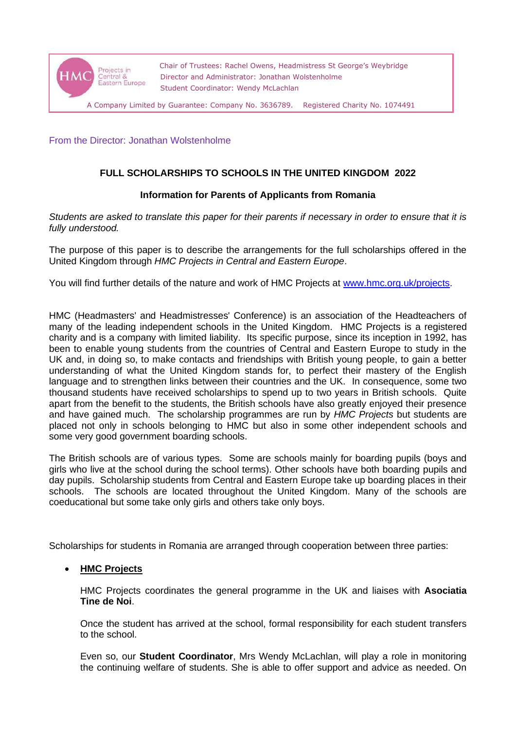

Chair of Trustees: Rachel Owens, Headmistress St George's Weybridge Director and Administrator: Jonathan Wolstenholme Student Coordinator: Wendy McLachlan

A Company Limited by Guarantee: Company No. 3636789. Registered Charity No. 1074491

From the Director: Jonathan Wolstenholme

# **FULL SCHOLARSHIPS TO SCHOOLS IN THE UNITED KINGDOM 2022**

## **Information for Parents of Applicants from Romania**

*Students are asked to translate this paper for their parents if necessary in order to ensure that it is fully understood.*

The purpose of this paper is to describe the arrangements for the full scholarships offered in the United Kingdom through *HMC Projects in Central and Eastern Europe*.

You will find further details of the nature and work of HMC Projects at [www.hmc.org.uk/projects.](http://www.hmc.org.uk/projects)

HMC (Headmasters' and Headmistresses' Conference) is an association of the Headteachers of many of the leading independent schools in the United Kingdom. HMC Projects is a registered charity and is a company with limited liability. Its specific purpose, since its inception in 1992, has been to enable young students from the countries of Central and Eastern Europe to study in the UK and, in doing so, to make contacts and friendships with British young people, to gain a better understanding of what the United Kingdom stands for, to perfect their mastery of the English language and to strengthen links between their countries and the UK. In consequence, some two thousand students have received scholarships to spend up to two years in British schools. Quite apart from the benefit to the students, the British schools have also greatly enjoyed their presence and have gained much. The scholarship programmes are run by *HMC Projects* but students are placed not only in schools belonging to HMC but also in some other independent schools and some very good government boarding schools.

The British schools are of various types. Some are schools mainly for boarding pupils (boys and girls who live at the school during the school terms). Other schools have both boarding pupils and day pupils. Scholarship students from Central and Eastern Europe take up boarding places in their schools. The schools are located throughout the United Kingdom. Many of the schools are coeducational but some take only girls and others take only boys.

Scholarships for students in Romania are arranged through cooperation between three parties:

## • **HMC Projects**

HMC Projects coordinates the general programme in the UK and liaises with **Asociatia Tine de Noi**.

Once the student has arrived at the school, formal responsibility for each student transfers to the school.

Even so, our **Student Coordinator**, Mrs Wendy McLachlan, will play a role in monitoring the continuing welfare of students. She is able to offer support and advice as needed. On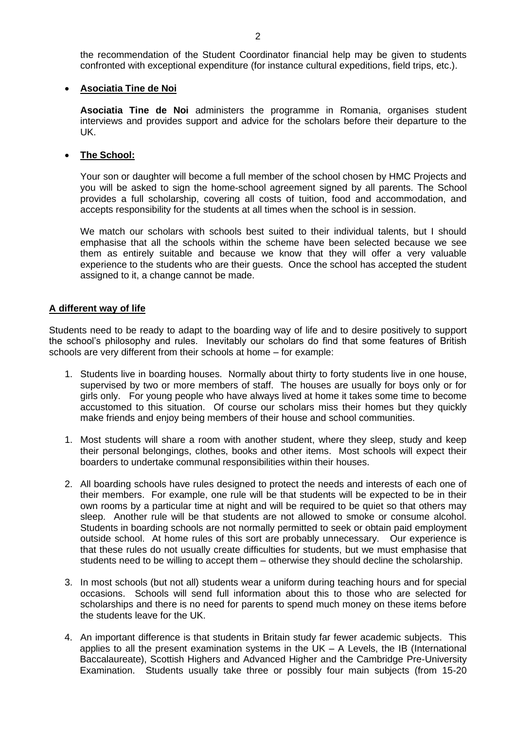the recommendation of the Student Coordinator financial help may be given to students confronted with exceptional expenditure (for instance cultural expeditions, field trips, etc.).

### • **Asociatia Tine de Noi**

**Asociatia Tine de Noi** administers the programme in Romania, organises student interviews and provides support and advice for the scholars before their departure to the UK.

### • **The School:**

Your son or daughter will become a full member of the school chosen by HMC Projects and you will be asked to sign the home-school agreement signed by all parents. The School provides a full scholarship, covering all costs of tuition, food and accommodation, and accepts responsibility for the students at all times when the school is in session.

We match our scholars with schools best suited to their individual talents, but I should emphasise that all the schools within the scheme have been selected because we see them as entirely suitable and because we know that they will offer a very valuable experience to the students who are their guests. Once the school has accepted the student assigned to it, a change cannot be made.

### **A different way of life**

Students need to be ready to adapt to the boarding way of life and to desire positively to support the school's philosophy and rules. Inevitably our scholars do find that some features of British schools are very different from their schools at home – for example:

- 1. Students live in boarding houses. Normally about thirty to forty students live in one house, supervised by two or more members of staff. The houses are usually for boys only or for girls only. For young people who have always lived at home it takes some time to become accustomed to this situation. Of course our scholars miss their homes but they quickly make friends and enjoy being members of their house and school communities.
- 1. Most students will share a room with another student, where they sleep, study and keep their personal belongings, clothes, books and other items. Most schools will expect their boarders to undertake communal responsibilities within their houses.
- 2. All boarding schools have rules designed to protect the needs and interests of each one of their members. For example, one rule will be that students will be expected to be in their own rooms by a particular time at night and will be required to be quiet so that others may sleep. Another rule will be that students are not allowed to smoke or consume alcohol. Students in boarding schools are not normally permitted to seek or obtain paid employment outside school. At home rules of this sort are probably unnecessary. Our experience is that these rules do not usually create difficulties for students, but we must emphasise that students need to be willing to accept them – otherwise they should decline the scholarship.
- 3. In most schools (but not all) students wear a uniform during teaching hours and for special occasions. Schools will send full information about this to those who are selected for scholarships and there is no need for parents to spend much money on these items before the students leave for the UK.
- 4. An important difference is that students in Britain study far fewer academic subjects. This applies to all the present examination systems in the  $UK - A$  Levels, the IB (International Baccalaureate), Scottish Highers and Advanced Higher and the Cambridge Pre-University Examination. Students usually take three or possibly four main subjects (from 15-20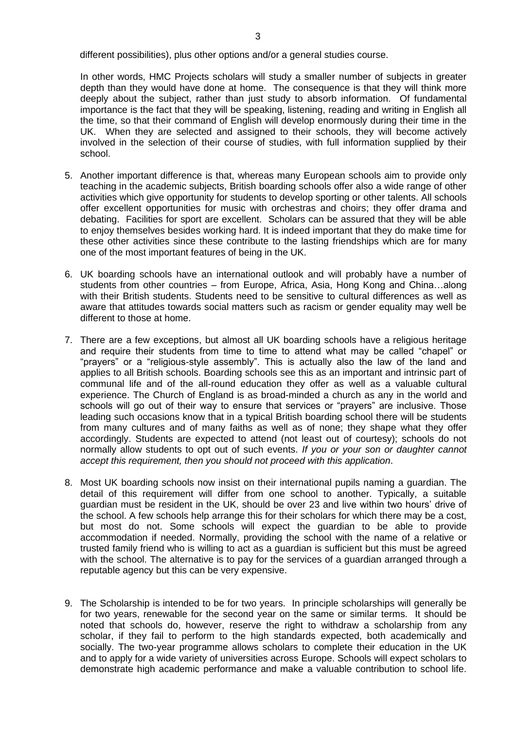In other words, HMC Projects scholars will study a smaller number of subjects in greater depth than they would have done at home. The consequence is that they will think more deeply about the subject, rather than just study to absorb information. Of fundamental importance is the fact that they will be speaking, listening, reading and writing in English all the time, so that their command of English will develop enormously during their time in the UK. When they are selected and assigned to their schools, they will become actively involved in the selection of their course of studies, with full information supplied by their school.

- 5. Another important difference is that, whereas many European schools aim to provide only teaching in the academic subjects, British boarding schools offer also a wide range of other activities which give opportunity for students to develop sporting or other talents. All schools offer excellent opportunities for music with orchestras and choirs; they offer drama and debating. Facilities for sport are excellent. Scholars can be assured that they will be able to enjoy themselves besides working hard. It is indeed important that they do make time for these other activities since these contribute to the lasting friendships which are for many one of the most important features of being in the UK.
- 6. UK boarding schools have an international outlook and will probably have a number of students from other countries – from Europe, Africa, Asia, Hong Kong and China…along with their British students. Students need to be sensitive to cultural differences as well as aware that attitudes towards social matters such as racism or gender equality may well be different to those at home.
- 7. There are a few exceptions, but almost all UK boarding schools have a religious heritage and require their students from time to time to attend what may be called "chapel" or "prayers" or a "religious-style assembly". This is actually also the law of the land and applies to all British schools. Boarding schools see this as an important and intrinsic part of communal life and of the all-round education they offer as well as a valuable cultural experience. The Church of England is as broad-minded a church as any in the world and schools will go out of their way to ensure that services or "prayers" are inclusive. Those leading such occasions know that in a typical British boarding school there will be students from many cultures and of many faiths as well as of none; they shape what they offer accordingly. Students are expected to attend (not least out of courtesy); schools do not normally allow students to opt out of such events. *If you or your son or daughter cannot accept this requirement, then you should not proceed with this application*.
- 8. Most UK boarding schools now insist on their international pupils naming a guardian. The detail of this requirement will differ from one school to another. Typically, a suitable guardian must be resident in the UK, should be over 23 and live within two hours' drive of the school. A few schools help arrange this for their scholars for which there may be a cost, but most do not. Some schools will expect the guardian to be able to provide accommodation if needed. Normally, providing the school with the name of a relative or trusted family friend who is willing to act as a guardian is sufficient but this must be agreed with the school. The alternative is to pay for the services of a guardian arranged through a reputable agency but this can be very expensive.
- 9. The Scholarship is intended to be for two years. In principle scholarships will generally be for two years, renewable for the second year on the same or similar terms. It should be noted that schools do, however, reserve the right to withdraw a scholarship from any scholar, if they fail to perform to the high standards expected, both academically and socially. The two-year programme allows scholars to complete their education in the UK and to apply for a wide variety of universities across Europe. Schools will expect scholars to demonstrate high academic performance and make a valuable contribution to school life.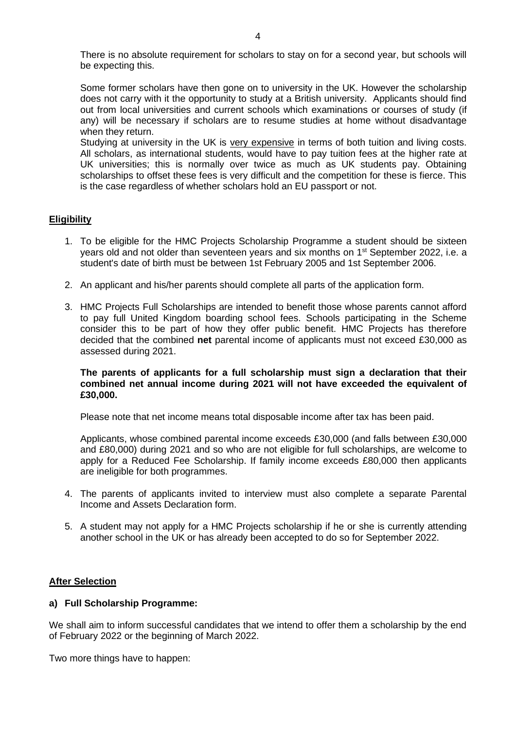There is no absolute requirement for scholars to stay on for a second year, but schools will be expecting this.

Some former scholars have then gone on to university in the UK. However the scholarship does not carry with it the opportunity to study at a British university. Applicants should find out from local universities and current schools which examinations or courses of study (if any) will be necessary if scholars are to resume studies at home without disadvantage when they return.

Studying at university in the UK is very expensive in terms of both tuition and living costs. All scholars, as international students, would have to pay tuition fees at the higher rate at UK universities; this is normally over twice as much as UK students pay. Obtaining scholarships to offset these fees is very difficult and the competition for these is fierce. This is the case regardless of whether scholars hold an EU passport or not.

### **Eligibility**

- 1. To be eligible for the HMC Projects Scholarship Programme a student should be sixteen years old and not older than seventeen years and six months on 1<sup>st</sup> September 2022, i.e. a student's date of birth must be between 1st February 2005 and 1st September 2006.
- 2. An applicant and his/her parents should complete all parts of the application form.
- 3. HMC Projects Full Scholarships are intended to benefit those whose parents cannot afford to pay full United Kingdom boarding school fees. Schools participating in the Scheme consider this to be part of how they offer public benefit. HMC Projects has therefore decided that the combined **net** parental income of applicants must not exceed £30,000 as assessed during 2021.

### **The parents of applicants for a full scholarship must sign a declaration that their combined net annual income during 2021 will not have exceeded the equivalent of £30,000.**

Please note that net income means total disposable income after tax has been paid.

Applicants, whose combined parental income exceeds £30,000 (and falls between £30,000 and £80,000) during 2021 and so who are not eligible for full scholarships, are welcome to apply for a Reduced Fee Scholarship. If family income exceeds £80,000 then applicants are ineligible for both programmes.

- 4. The parents of applicants invited to interview must also complete a separate Parental Income and Assets Declaration form.
- 5. A student may not apply for a HMC Projects scholarship if he or she is currently attending another school in the UK or has already been accepted to do so for September 2022.

### **After Selection**

### **a) Full Scholarship Programme:**

We shall aim to inform successful candidates that we intend to offer them a scholarship by the end of February 2022 or the beginning of March 2022.

Two more things have to happen: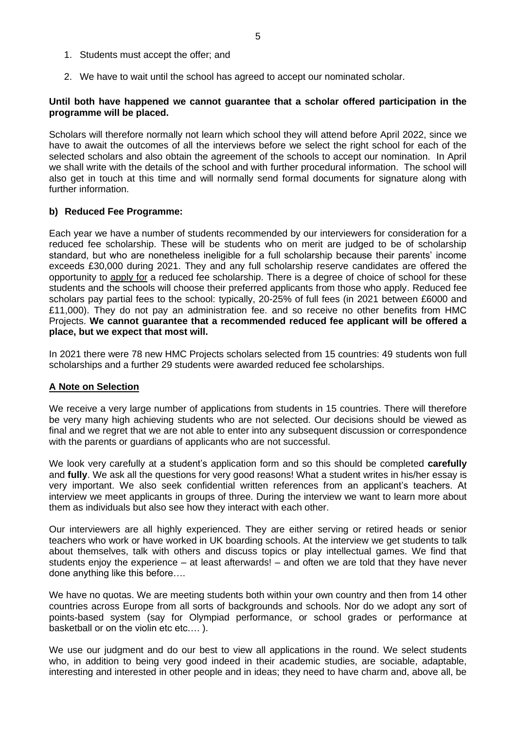- 1. Students must accept the offer; and
- 2. We have to wait until the school has agreed to accept our nominated scholar.

### **Until both have happened we cannot guarantee that a scholar offered participation in the programme will be placed.**

Scholars will therefore normally not learn which school they will attend before April 2022, since we have to await the outcomes of all the interviews before we select the right school for each of the selected scholars and also obtain the agreement of the schools to accept our nomination. In April we shall write with the details of the school and with further procedural information. The school will also get in touch at this time and will normally send formal documents for signature along with further information.

## **b) Reduced Fee Programme:**

Each year we have a number of students recommended by our interviewers for consideration for a reduced fee scholarship. These will be students who on merit are judged to be of scholarship standard, but who are nonetheless ineligible for a full scholarship because their parents' income exceeds £30,000 during 2021. They and any full scholarship reserve candidates are offered the opportunity to apply for a reduced fee scholarship. There is a degree of choice of school for these students and the schools will choose their preferred applicants from those who apply. Reduced fee scholars pay partial fees to the school: typically, 20-25% of full fees (in 2021 between £6000 and £11,000). They do not pay an administration fee. and so receive no other benefits from HMC Projects. **We cannot guarantee that a recommended reduced fee applicant will be offered a place, but we expect that most will.**

In 2021 there were 78 new HMC Projects scholars selected from 15 countries: 49 students won full scholarships and a further 29 students were awarded reduced fee scholarships.

### **A Note on Selection**

We receive a very large number of applications from students in 15 countries. There will therefore be very many high achieving students who are not selected. Our decisions should be viewed as final and we regret that we are not able to enter into any subsequent discussion or correspondence with the parents or guardians of applicants who are not successful.

We look very carefully at a student's application form and so this should be completed **carefully**  and **fully**. We ask all the questions for very good reasons! What a student writes in his/her essay is very important. We also seek confidential written references from an applicant's teachers. At interview we meet applicants in groups of three. During the interview we want to learn more about them as individuals but also see how they interact with each other.

Our interviewers are all highly experienced. They are either serving or retired heads or senior teachers who work or have worked in UK boarding schools. At the interview we get students to talk about themselves, talk with others and discuss topics or play intellectual games. We find that students enjoy the experience – at least afterwards! – and often we are told that they have never done anything like this before….

We have no quotas. We are meeting students both within your own country and then from 14 other countries across Europe from all sorts of backgrounds and schools. Nor do we adopt any sort of points-based system (say for Olympiad performance, or school grades or performance at basketball or on the violin etc etc....).

We use our judgment and do our best to view all applications in the round. We select students who, in addition to being very good indeed in their academic studies, are sociable, adaptable, interesting and interested in other people and in ideas; they need to have charm and, above all, be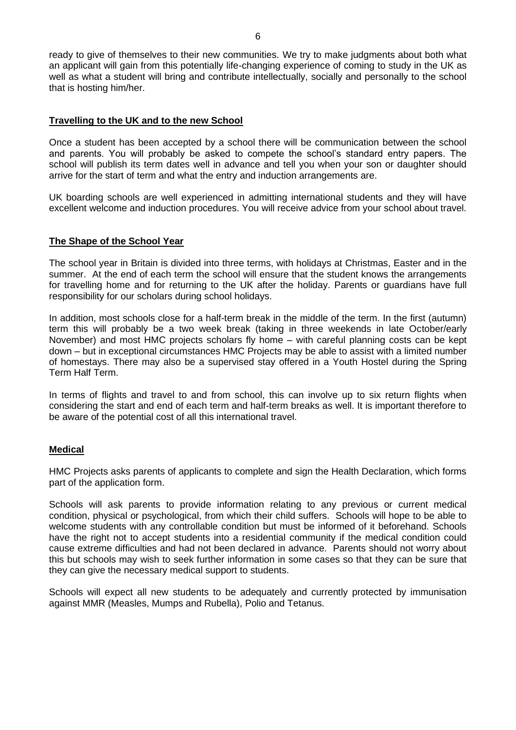ready to give of themselves to their new communities. We try to make judgments about both what an applicant will gain from this potentially life-changing experience of coming to study in the UK as well as what a student will bring and contribute intellectually, socially and personally to the school that is hosting him/her.

## **Travelling to the UK and to the new School**

Once a student has been accepted by a school there will be communication between the school and parents. You will probably be asked to compete the school's standard entry papers. The school will publish its term dates well in advance and tell you when your son or daughter should arrive for the start of term and what the entry and induction arrangements are.

UK boarding schools are well experienced in admitting international students and they will have excellent welcome and induction procedures. You will receive advice from your school about travel.

## **The Shape of the School Year**

The school year in Britain is divided into three terms, with holidays at Christmas, Easter and in the summer. At the end of each term the school will ensure that the student knows the arrangements for travelling home and for returning to the UK after the holiday. Parents or guardians have full responsibility for our scholars during school holidays.

In addition, most schools close for a half-term break in the middle of the term. In the first (autumn) term this will probably be a two week break (taking in three weekends in late October/early November) and most HMC projects scholars fly home – with careful planning costs can be kept down – but in exceptional circumstances HMC Projects may be able to assist with a limited number of homestays. There may also be a supervised stay offered in a Youth Hostel during the Spring Term Half Term.

In terms of flights and travel to and from school, this can involve up to six return flights when considering the start and end of each term and half-term breaks as well. It is important therefore to be aware of the potential cost of all this international travel.

## **Medical**

HMC Projects asks parents of applicants to complete and sign the Health Declaration, which forms part of the application form.

Schools will ask parents to provide information relating to any previous or current medical condition, physical or psychological, from which their child suffers. Schools will hope to be able to welcome students with any controllable condition but must be informed of it beforehand. Schools have the right not to accept students into a residential community if the medical condition could cause extreme difficulties and had not been declared in advance. Parents should not worry about this but schools may wish to seek further information in some cases so that they can be sure that they can give the necessary medical support to students.

Schools will expect all new students to be adequately and currently protected by immunisation against MMR (Measles, Mumps and Rubella), Polio and Tetanus.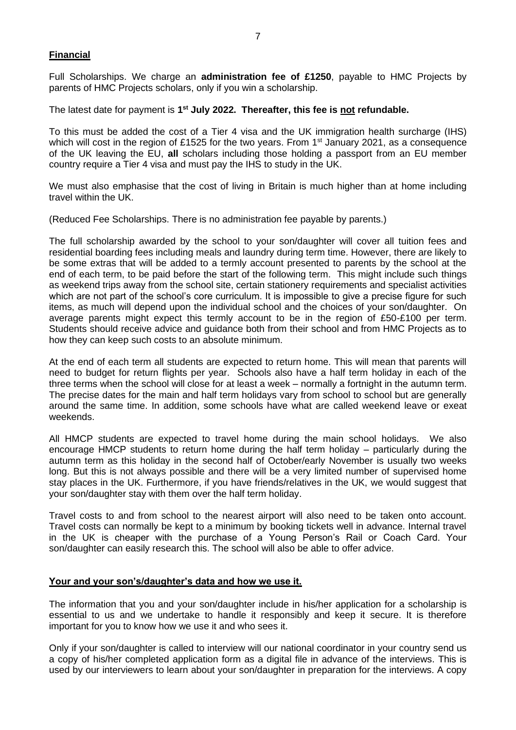## **Financial**

Full Scholarships. We charge an **administration fee of £1250**, payable to HMC Projects by parents of HMC Projects scholars, only if you win a scholarship.

The latest date for payment is 1<sup>st</sup> July 2022. Thereafter, this fee is not refundable.

To this must be added the cost of a Tier 4 visa and the UK immigration health surcharge (IHS) which will cost in the region of £1525 for the two years. From 1<sup>st</sup> January 2021, as a consequence of the UK leaving the EU, **all** scholars including those holding a passport from an EU member country require a Tier 4 visa and must pay the IHS to study in the UK.

We must also emphasise that the cost of living in Britain is much higher than at home including travel within the UK.

(Reduced Fee Scholarships. There is no administration fee payable by parents.)

The full scholarship awarded by the school to your son/daughter will cover all tuition fees and residential boarding fees including meals and laundry during term time. However, there are likely to be some extras that will be added to a termly account presented to parents by the school at the end of each term, to be paid before the start of the following term. This might include such things as weekend trips away from the school site, certain stationery requirements and specialist activities which are not part of the school's core curriculum. It is impossible to give a precise figure for such items, as much will depend upon the individual school and the choices of your son/daughter. On average parents might expect this termly account to be in the region of £50-£100 per term. Students should receive advice and guidance both from their school and from HMC Projects as to how they can keep such costs to an absolute minimum.

At the end of each term all students are expected to return home. This will mean that parents will need to budget for return flights per year. Schools also have a half term holiday in each of the three terms when the school will close for at least a week – normally a fortnight in the autumn term. The precise dates for the main and half term holidays vary from school to school but are generally around the same time. In addition, some schools have what are called weekend leave or exeat weekends.

All HMCP students are expected to travel home during the main school holidays. We also encourage HMCP students to return home during the half term holiday – particularly during the autumn term as this holiday in the second half of October/early November is usually two weeks long. But this is not always possible and there will be a very limited number of supervised home stay places in the UK. Furthermore, if you have friends/relatives in the UK, we would suggest that your son/daughter stay with them over the half term holiday.

Travel costs to and from school to the nearest airport will also need to be taken onto account. Travel costs can normally be kept to a minimum by booking tickets well in advance. Internal travel in the UK is cheaper with the purchase of a Young Person's Rail or Coach Card. Your son/daughter can easily research this. The school will also be able to offer advice.

## **Your and your son's/daughter's data and how we use it.**

The information that you and your son/daughter include in his/her application for a scholarship is essential to us and we undertake to handle it responsibly and keep it secure. It is therefore important for you to know how we use it and who sees it.

Only if your son/daughter is called to interview will our national coordinator in your country send us a copy of his/her completed application form as a digital file in advance of the interviews. This is used by our interviewers to learn about your son/daughter in preparation for the interviews. A copy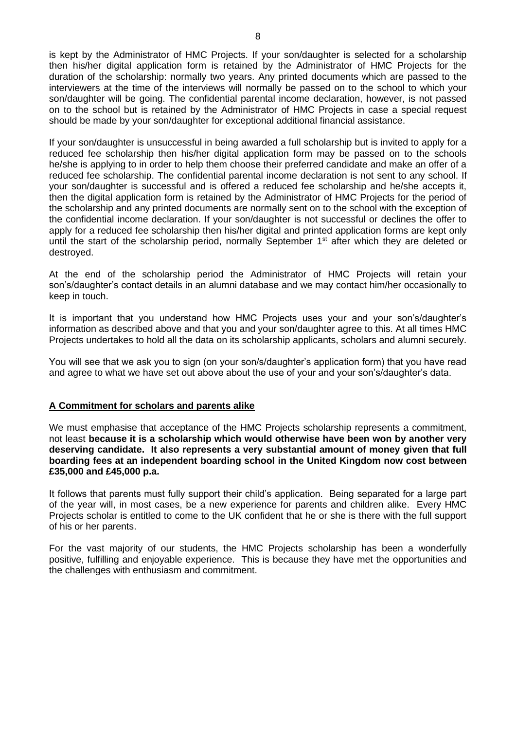is kept by the Administrator of HMC Projects. If your son/daughter is selected for a scholarship then his/her digital application form is retained by the Administrator of HMC Projects for the duration of the scholarship: normally two years. Any printed documents which are passed to the interviewers at the time of the interviews will normally be passed on to the school to which your son/daughter will be going. The confidential parental income declaration, however, is not passed on to the school but is retained by the Administrator of HMC Projects in case a special request should be made by your son/daughter for exceptional additional financial assistance.

If your son/daughter is unsuccessful in being awarded a full scholarship but is invited to apply for a reduced fee scholarship then his/her digital application form may be passed on to the schools he/she is applying to in order to help them choose their preferred candidate and make an offer of a reduced fee scholarship. The confidential parental income declaration is not sent to any school. If your son/daughter is successful and is offered a reduced fee scholarship and he/she accepts it, then the digital application form is retained by the Administrator of HMC Projects for the period of the scholarship and any printed documents are normally sent on to the school with the exception of the confidential income declaration. If your son/daughter is not successful or declines the offer to apply for a reduced fee scholarship then his/her digital and printed application forms are kept only until the start of the scholarship period, normally September 1<sup>st</sup> after which they are deleted or destroyed.

At the end of the scholarship period the Administrator of HMC Projects will retain your son's/daughter's contact details in an alumni database and we may contact him/her occasionally to keep in touch.

It is important that you understand how HMC Projects uses your and your son's/daughter's information as described above and that you and your son/daughter agree to this. At all times HMC Projects undertakes to hold all the data on its scholarship applicants, scholars and alumni securely.

You will see that we ask you to sign (on your son/s/daughter's application form) that you have read and agree to what we have set out above about the use of your and your son's/daughter's data.

## **A Commitment for scholars and parents alike**

We must emphasise that acceptance of the HMC Projects scholarship represents a commitment, not least **because it is a scholarship which would otherwise have been won by another very deserving candidate. It also represents a very substantial amount of money given that full boarding fees at an independent boarding school in the United Kingdom now cost between £35,000 and £45,000 p.a.**

It follows that parents must fully support their child's application. Being separated for a large part of the year will, in most cases, be a new experience for parents and children alike. Every HMC Projects scholar is entitled to come to the UK confident that he or she is there with the full support of his or her parents.

For the vast majority of our students, the HMC Projects scholarship has been a wonderfully positive, fulfilling and enjoyable experience. This is because they have met the opportunities and the challenges with enthusiasm and commitment.